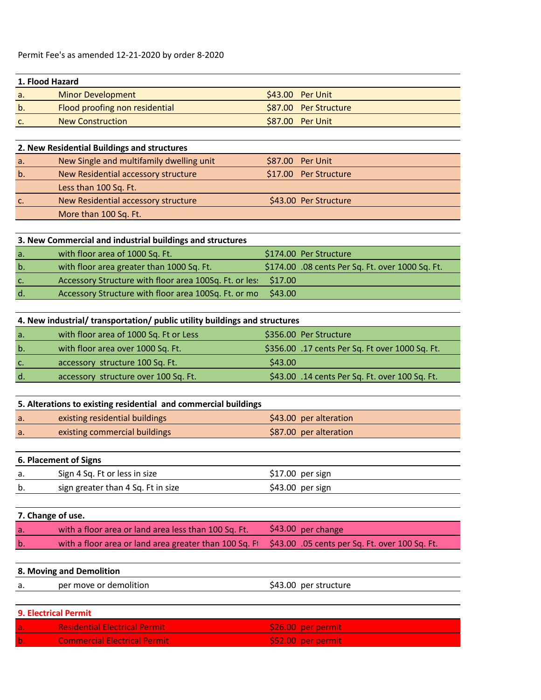| 1. Flood Hazard |                                |  |                       |  |
|-----------------|--------------------------------|--|-----------------------|--|
| а.              | Minor Development              |  | \$43.00 Per Unit      |  |
| b.              | Flood proofing non residential |  | \$87.00 Per Structure |  |
|                 | <b>New Construction</b>        |  | \$87.00 Per Unit      |  |

| a.    | New Single and multifamily dwelling unit | $$87.00$ Per Unit     |
|-------|------------------------------------------|-----------------------|
| $b$ . | New Residential accessory structure      | \$17.00 Per Structure |
|       | Less than 100 Sq. Ft.                    |                       |
| C.    | New Residential accessory structure      | \$43.00 Per Structure |
|       | More than 100 Sq. Ft.                    |                       |

## **3. New Commercial and industrial buildings and structures**

| a.          | with floor area of 1000 Sq. Ft.                                | \$174.00 Per Structure                           |
|-------------|----------------------------------------------------------------|--------------------------------------------------|
| b.          | with floor area greater than 1000 Sq. Ft.                      | \$174.00 .08 cents Per Sq. Ft. over 1000 Sq. Ft. |
| $C_{\star}$ | Accessory Structure with floor area 100Sq. Ft. or les: \$17.00 |                                                  |
| d.          | Accessory Structure with floor area 100Sq. Ft. or mo           | \$43.00                                          |

| 4. New industrial/ transportation/ public utility buildings and structures |  |  |  |
|----------------------------------------------------------------------------|--|--|--|
|----------------------------------------------------------------------------|--|--|--|

| a.             | with floor area of 1000 Sq. Ft or Less | \$356.00 Per Structure                          |
|----------------|----------------------------------------|-------------------------------------------------|
| b.             | with floor area over 1000 Sq. Ft.      | \$356.00 .17 cents Per Sq. Ft over 1000 Sq. Ft. |
| C <sub>1</sub> | accessory structure 100 Sq. Ft.        | \$43.00                                         |
| d.             | accessory structure over 100 Sq. Ft.   | \$43.00 .14 cents Per Sq. Ft. over 100 Sq. Ft.  |

| 5. Alterations to existing residential and commercial buildings |                                |                        |  |
|-----------------------------------------------------------------|--------------------------------|------------------------|--|
| a.                                                              | existing residential buildings | \$43.00 per alteration |  |
| a.                                                              | existing commercial buildings  | \$87.00 per alteration |  |

**6. Placement of Signs**

| а. | Sign 4 Sq. Ft or less in size      | $$17.00$ per sign |
|----|------------------------------------|-------------------|
| b. | sign greater than 4 Sq. Ft in size | \$43.00 per sign  |

| 7. Change of use. |                                                                                                       |                                  |  |
|-------------------|-------------------------------------------------------------------------------------------------------|----------------------------------|--|
| a.                | with a floor area or land area less than 100 Sq. Ft.                                                  | $\frac{1}{2}$ \$43.00 per change |  |
| b.                | with a floor area or land area greater than 100 Sq. Fi \$43.00 .05 cents per Sq. Ft. over 100 Sq. Ft. |                                  |  |

## **8. Moving and Demolition**

|  | per move or demolition | \$43.00 per structure |
|--|------------------------|-----------------------|
|--|------------------------|-----------------------|

| <b>9. Electrical Permit</b> |                                      |                    |  |
|-----------------------------|--------------------------------------|--------------------|--|
| l a.                        | <b>Residential Electrical Permit</b> | \$26.00 per permit |  |
|                             | <b>Commercial Electrical Permit</b>  | \$52.00 per permit |  |